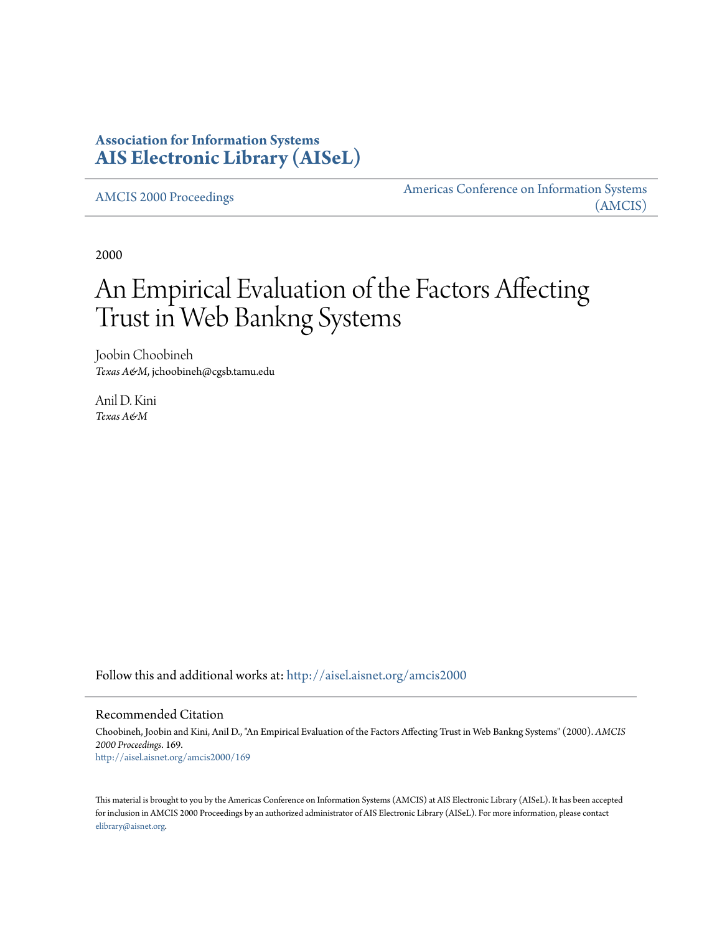# **Association for Information Systems [AIS Electronic Library \(AISeL\)](http://aisel.aisnet.org?utm_source=aisel.aisnet.org%2Famcis2000%2F169&utm_medium=PDF&utm_campaign=PDFCoverPages)**

[AMCIS 2000 Proceedings](http://aisel.aisnet.org/amcis2000?utm_source=aisel.aisnet.org%2Famcis2000%2F169&utm_medium=PDF&utm_campaign=PDFCoverPages)

[Americas Conference on Information Systems](http://aisel.aisnet.org/amcis?utm_source=aisel.aisnet.org%2Famcis2000%2F169&utm_medium=PDF&utm_campaign=PDFCoverPages) [\(AMCIS\)](http://aisel.aisnet.org/amcis?utm_source=aisel.aisnet.org%2Famcis2000%2F169&utm_medium=PDF&utm_campaign=PDFCoverPages)

2000

# An Empirical Evaluation of the Factors Affecting Trust in Web Bankng Systems

Joobin Choobineh *Texas A&M*, jchoobineh@cgsb.tamu.edu

Anil D. Kini *Texas A&M*

Follow this and additional works at: [http://aisel.aisnet.org/amcis2000](http://aisel.aisnet.org/amcis2000?utm_source=aisel.aisnet.org%2Famcis2000%2F169&utm_medium=PDF&utm_campaign=PDFCoverPages)

#### Recommended Citation

Choobineh, Joobin and Kini, Anil D., "An Empirical Evaluation of the Factors Affecting Trust in Web Bankng Systems" (2000). *AMCIS 2000 Proceedings*. 169. [http://aisel.aisnet.org/amcis2000/169](http://aisel.aisnet.org/amcis2000/169?utm_source=aisel.aisnet.org%2Famcis2000%2F169&utm_medium=PDF&utm_campaign=PDFCoverPages)

This material is brought to you by the Americas Conference on Information Systems (AMCIS) at AIS Electronic Library (AISeL). It has been accepted for inclusion in AMCIS 2000 Proceedings by an authorized administrator of AIS Electronic Library (AISeL). For more information, please contact [elibrary@aisnet.org.](mailto:elibrary@aisnet.org%3E)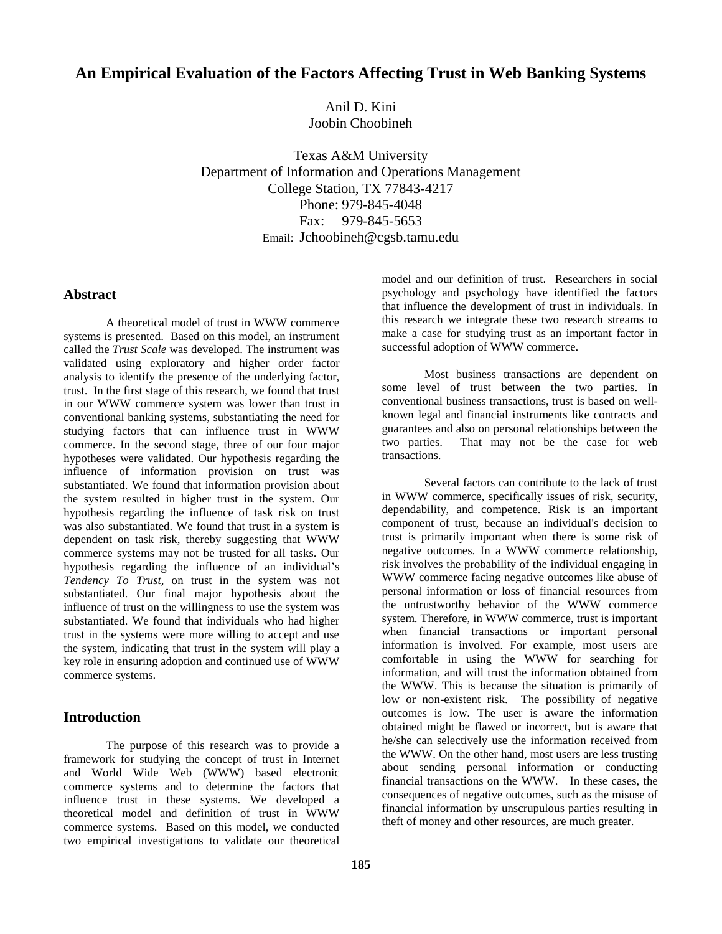# **An Empirical Evaluation of the Factors Affecting Trust in Web Banking Systems**

Anil D. Kini Joobin Choobineh

Texas A&M University Department of Information and Operations Management College Station, TX 77843-4217 Phone: 979-845-4048 Fax: 979-845-5653 Email: Jchoobineh@cgsb.tamu.edu

#### **Abstract**

 A theoretical model of trust in WWW commerce systems is presented. Based on this model, an instrument called the *Trust Scale* was developed. The instrument was validated using exploratory and higher order factor analysis to identify the presence of the underlying factor, trust. In the first stage of this research, we found that trust in our WWW commerce system was lower than trust in conventional banking systems, substantiating the need for studying factors that can influence trust in WWW commerce. In the second stage, three of our four major hypotheses were validated. Our hypothesis regarding the influence of information provision on trust was substantiated. We found that information provision about the system resulted in higher trust in the system. Our hypothesis regarding the influence of task risk on trust was also substantiated. We found that trust in a system is dependent on task risk, thereby suggesting that WWW commerce systems may not be trusted for all tasks. Our hypothesis regarding the influence of an individual's *Tendency To Trust,* on trust in the system was not substantiated. Our final major hypothesis about the influence of trust on the willingness to use the system was substantiated. We found that individuals who had higher trust in the systems were more willing to accept and use the system, indicating that trust in the system will play a key role in ensuring adoption and continued use of WWW commerce systems.

### **Introduction**

The purpose of this research was to provide a framework for studying the concept of trust in Internet and World Wide Web (WWW) based electronic commerce systems and to determine the factors that influence trust in these systems. We developed a theoretical model and definition of trust in WWW commerce systems. Based on this model, we conducted two empirical investigations to validate our theoretical

model and our definition of trust. Researchers in social psychology and psychology have identified the factors that influence the development of trust in individuals. In this research we integrate these two research streams to make a case for studying trust as an important factor in successful adoption of WWW commerce.

Most business transactions are dependent on some level of trust between the two parties. In conventional business transactions, trust is based on wellknown legal and financial instruments like contracts and guarantees and also on personal relationships between the two parties. That may not be the case for web transactions.

Several factors can contribute to the lack of trust in WWW commerce, specifically issues of risk, security, dependability, and competence. Risk is an important component of trust, because an individual's decision to trust is primarily important when there is some risk of negative outcomes. In a WWW commerce relationship, risk involves the probability of the individual engaging in WWW commerce facing negative outcomes like abuse of personal information or loss of financial resources from the untrustworthy behavior of the WWW commerce system. Therefore, in WWW commerce, trust is important when financial transactions or important personal information is involved. For example, most users are comfortable in using the WWW for searching for information, and will trust the information obtained from the WWW. This is because the situation is primarily of low or non-existent risk. The possibility of negative outcomes is low. The user is aware the information obtained might be flawed or incorrect, but is aware that he/she can selectively use the information received from the WWW. On the other hand, most users are less trusting about sending personal information or conducting financial transactions on the WWW. In these cases, the consequences of negative outcomes, such as the misuse of financial information by unscrupulous parties resulting in theft of money and other resources, are much greater.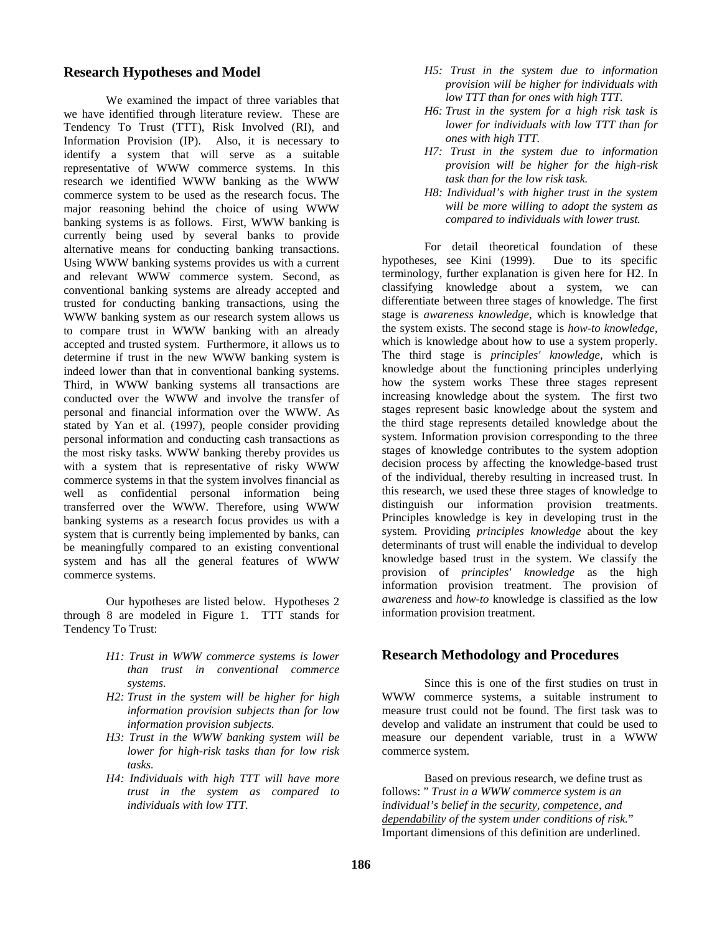## **Research Hypotheses and Model**

We examined the impact of three variables that we have identified through literature review. These are Tendency To Trust (TTT), Risk Involved (RI), and Information Provision (IP). Also, it is necessary to identify a system that will serve as a suitable representative of WWW commerce systems. In this research we identified WWW banking as the WWW commerce system to be used as the research focus. The major reasoning behind the choice of using WWW banking systems is as follows. First, WWW banking is currently being used by several banks to provide alternative means for conducting banking transactions. Using WWW banking systems provides us with a current and relevant WWW commerce system. Second, as conventional banking systems are already accepted and trusted for conducting banking transactions, using the WWW banking system as our research system allows us to compare trust in WWW banking with an already accepted and trusted system. Furthermore, it allows us to determine if trust in the new WWW banking system is indeed lower than that in conventional banking systems. Third, in WWW banking systems all transactions are conducted over the WWW and involve the transfer of personal and financial information over the WWW. As stated by Yan et al. (1997), people consider providing personal information and conducting cash transactions as the most risky tasks. WWW banking thereby provides us with a system that is representative of risky WWW commerce systems in that the system involves financial as well as confidential personal information being transferred over the WWW. Therefore, using WWW banking systems as a research focus provides us with a system that is currently being implemented by banks, can be meaningfully compared to an existing conventional system and has all the general features of WWW commerce systems.

Our hypotheses are listed below. Hypotheses 2 through 8 are modeled in Figure 1. TTT stands for Tendency To Trust:

- *H1: Trust in WWW commerce systems is lower than trust in conventional commerce systems.*
- *H2: Trust in the system will be higher for high information provision subjects than for low information provision subjects.*
- *H3: Trust in the WWW banking system will be lower for high-risk tasks than for low risk tasks.*
- *H4: Individuals with high TTT will have more trust in the system as compared to individuals with low TTT.*
- *H5: Trust in the system due to information provision will be higher for individuals with low TTT than for ones with high TTT.*
- *H6: Trust in the system for a high risk task is lower for individuals with low TTT than for ones with high TTT.*
- *H7: Trust in the system due to information provision will be higher for the high-risk task than for the low risk task.*
- *H8: Individual's with higher trust in the system will be more willing to adopt the system as compared to individuals with lower trust.*

For detail theoretical foundation of these hypotheses, see Kini (1999). Due to its specific terminology, further explanation is given here for H2. In classifying knowledge about a system, we can differentiate between three stages of knowledge. The first stage is *awareness knowledge*, which is knowledge that the system exists. The second stage is *how-to knowledge*, which is knowledge about how to use a system properly. The third stage is *principles' knowledge*, which is knowledge about the functioning principles underlying how the system works These three stages represent increasing knowledge about the system. The first two stages represent basic knowledge about the system and the third stage represents detailed knowledge about the system. Information provision corresponding to the three stages of knowledge contributes to the system adoption decision process by affecting the knowledge-based trust of the individual, thereby resulting in increased trust. In this research, we used these three stages of knowledge to distinguish our information provision treatments. Principles knowledge is key in developing trust in the system. Providing *principles knowledge* about the key determinants of trust will enable the individual to develop knowledge based trust in the system. We classify the provision of *principles' knowledge* as the high information provision treatment. The provision of *awareness* and *how-to* knowledge is classified as the low information provision treatment.

## **Research Methodology and Procedures**

Since this is one of the first studies on trust in WWW commerce systems, a suitable instrument to measure trust could not be found. The first task was to develop and validate an instrument that could be used to measure our dependent variable, trust in a WWW commerce system.

Based on previous research, we define trust as follows: " *Trust in a WWW commerce system is an individual's belief in the security, competence, and dependability of the system under conditions of risk.*" Important dimensions of this definition are underlined.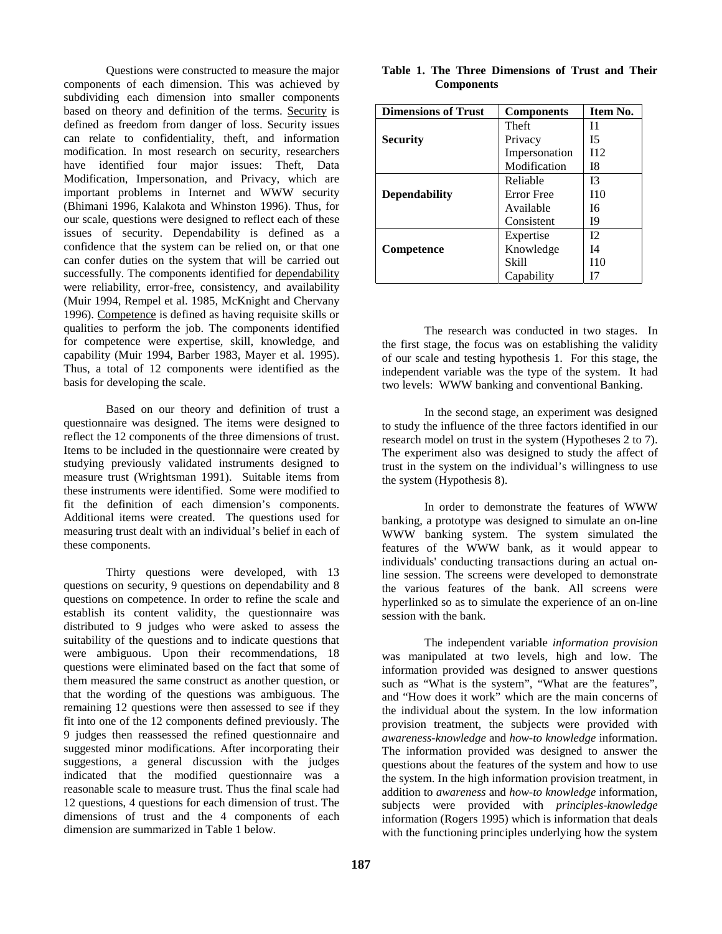Questions were constructed to measure the major components of each dimension. This was achieved by subdividing each dimension into smaller components based on theory and definition of the terms. Security is defined as freedom from danger of loss. Security issues can relate to confidentiality, theft, and information modification. In most research on security, researchers have identified four major issues: Theft, Data Modification, Impersonation, and Privacy, which are important problems in Internet and WWW security (Bhimani 1996, Kalakota and Whinston 1996). Thus, for our scale, questions were designed to reflect each of these issues of security. Dependability is defined as a confidence that the system can be relied on, or that one can confer duties on the system that will be carried out successfully. The components identified for dependability were reliability, error-free, consistency, and availability (Muir 1994, Rempel et al. 1985, McKnight and Chervany 1996). Competence is defined as having requisite skills or qualities to perform the job. The components identified for competence were expertise, skill, knowledge, and capability (Muir 1994, Barber 1983, Mayer et al. 1995). Thus, a total of 12 components were identified as the basis for developing the scale.

Based on our theory and definition of trust a questionnaire was designed. The items were designed to reflect the 12 components of the three dimensions of trust. Items to be included in the questionnaire were created by studying previously validated instruments designed to measure trust (Wrightsman 1991). Suitable items from these instruments were identified. Some were modified to fit the definition of each dimension's components. Additional items were created. The questions used for measuring trust dealt with an individual's belief in each of these components.

Thirty questions were developed, with 13 questions on security, 9 questions on dependability and 8 questions on competence. In order to refine the scale and establish its content validity, the questionnaire was distributed to 9 judges who were asked to assess the suitability of the questions and to indicate questions that were ambiguous. Upon their recommendations, 18 questions were eliminated based on the fact that some of them measured the same construct as another question, or that the wording of the questions was ambiguous. The remaining 12 questions were then assessed to see if they fit into one of the 12 components defined previously. The 9 judges then reassessed the refined questionnaire and suggested minor modifications. After incorporating their suggestions, a general discussion with the judges indicated that the modified questionnaire was a reasonable scale to measure trust. Thus the final scale had 12 questions, 4 questions for each dimension of trust. The dimensions of trust and the 4 components of each dimension are summarized in Table 1 below.

| <b>Dimensions of Trust</b> | <b>Components</b> | Item No. |  |
|----------------------------|-------------------|----------|--|
|                            | Theft             | 11       |  |
| <b>Security</b>            | Privacy           | 15       |  |
|                            | Impersonation     | 112      |  |
|                            | Modification      | I8       |  |
|                            | Reliable          | 13       |  |
| <b>Dependability</b>       | Error Free        | I10      |  |
|                            | Available         | 16       |  |
|                            | Consistent        | 19       |  |
|                            | Expertise         | 12       |  |
| <b>Competence</b>          | Knowledge         | 14       |  |
|                            | Skill             | 110      |  |
|                            | Capability        | I7       |  |

#### **Table 1. The Three Dimensions of Trust and Their Components**

The research was conducted in two stages. In the first stage, the focus was on establishing the validity of our scale and testing hypothesis 1. For this stage, the independent variable was the type of the system. It had two levels: WWW banking and conventional Banking.

In the second stage, an experiment was designed to study the influence of the three factors identified in our research model on trust in the system (Hypotheses 2 to 7). The experiment also was designed to study the affect of trust in the system on the individual's willingness to use the system (Hypothesis 8).

In order to demonstrate the features of WWW banking, a prototype was designed to simulate an on-line WWW banking system. The system simulated the features of the WWW bank, as it would appear to individuals' conducting transactions during an actual online session. The screens were developed to demonstrate the various features of the bank. All screens were hyperlinked so as to simulate the experience of an on-line session with the bank.

The independent variable *information provision* was manipulated at two levels, high and low. The information provided was designed to answer questions such as "What is the system", "What are the features", and "How does it work" which are the main concerns of the individual about the system. In the low information provision treatment, the subjects were provided with *awareness-knowledge* and *how-to knowledge* information. The information provided was designed to answer the questions about the features of the system and how to use the system. In the high information provision treatment, in addition to *awareness* and *how-to knowledge* information*,*  subjects were provided with *principles-knowledge*  information (Rogers 1995) which is information that deals with the functioning principles underlying how the system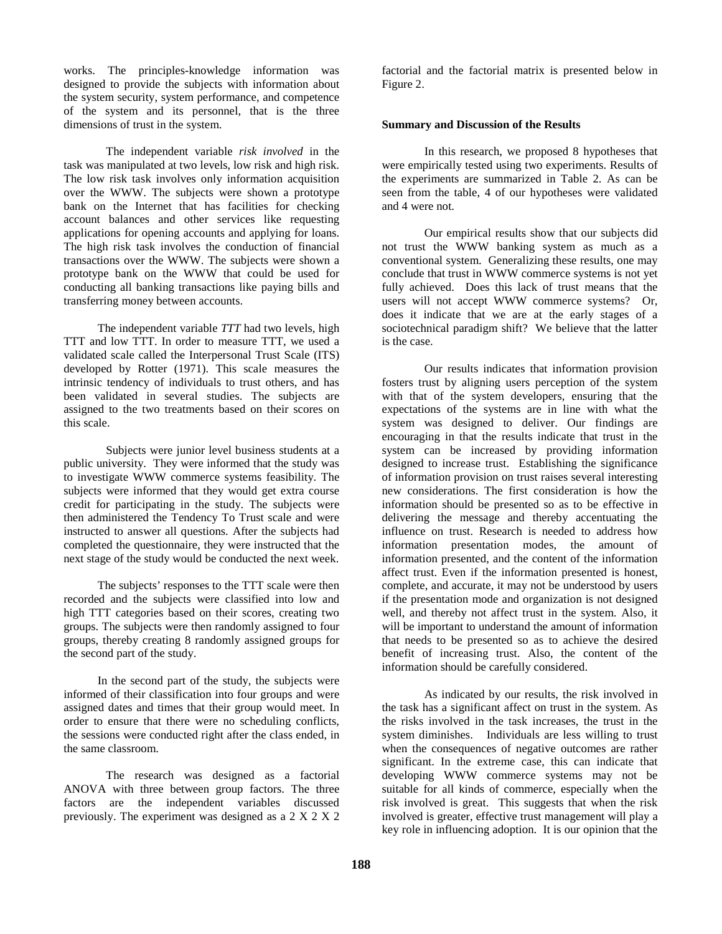works. The principles-knowledge information was designed to provide the subjects with information about the system security, system performance, and competence of the system and its personnel, that is the three dimensions of trust in the system.

The independent variable *risk involved* in the task was manipulated at two levels, low risk and high risk. The low risk task involves only information acquisition over the WWW. The subjects were shown a prototype bank on the Internet that has facilities for checking account balances and other services like requesting applications for opening accounts and applying for loans. The high risk task involves the conduction of financial transactions over the WWW. The subjects were shown a prototype bank on the WWW that could be used for conducting all banking transactions like paying bills and transferring money between accounts.

The independent variable *TTT* had two levels, high TTT and low TTT. In order to measure TTT, we used a validated scale called the Interpersonal Trust Scale (ITS) developed by Rotter (1971). This scale measures the intrinsic tendency of individuals to trust others, and has been validated in several studies. The subjects are assigned to the two treatments based on their scores on this scale.

Subjects were junior level business students at a public university. They were informed that the study was to investigate WWW commerce systems feasibility. The subjects were informed that they would get extra course credit for participating in the study. The subjects were then administered the Tendency To Trust scale and were instructed to answer all questions. After the subjects had completed the questionnaire, they were instructed that the next stage of the study would be conducted the next week.

The subjects' responses to the TTT scale were then recorded and the subjects were classified into low and high TTT categories based on their scores, creating two groups. The subjects were then randomly assigned to four groups, thereby creating 8 randomly assigned groups for the second part of the study.

In the second part of the study, the subjects were informed of their classification into four groups and were assigned dates and times that their group would meet. In order to ensure that there were no scheduling conflicts, the sessions were conducted right after the class ended, in the same classroom.

The research was designed as a factorial ANOVA with three between group factors. The three factors are the independent variables discussed previously. The experiment was designed as a 2 X 2 X 2

factorial and the factorial matrix is presented below in Figure 2.

#### **Summary and Discussion of the Results**

In this research, we proposed 8 hypotheses that were empirically tested using two experiments. Results of the experiments are summarized in Table 2. As can be seen from the table, 4 of our hypotheses were validated and 4 were not.

Our empirical results show that our subjects did not trust the WWW banking system as much as a conventional system. Generalizing these results, one may conclude that trust in WWW commerce systems is not yet fully achieved. Does this lack of trust means that the users will not accept WWW commerce systems? Or, does it indicate that we are at the early stages of a sociotechnical paradigm shift? We believe that the latter is the case.

 Our results indicates that information provision fosters trust by aligning users perception of the system with that of the system developers, ensuring that the expectations of the systems are in line with what the system was designed to deliver. Our findings are encouraging in that the results indicate that trust in the system can be increased by providing information designed to increase trust. Establishing the significance of information provision on trust raises several interesting new considerations. The first consideration is how the information should be presented so as to be effective in delivering the message and thereby accentuating the influence on trust. Research is needed to address how information presentation modes, the amount of information presented, and the content of the information affect trust. Even if the information presented is honest, complete, and accurate, it may not be understood by users if the presentation mode and organization is not designed well, and thereby not affect trust in the system. Also, it will be important to understand the amount of information that needs to be presented so as to achieve the desired benefit of increasing trust. Also, the content of the information should be carefully considered.

 As indicated by our results, the risk involved in the task has a significant affect on trust in the system. As the risks involved in the task increases, the trust in the system diminishes. Individuals are less willing to trust when the consequences of negative outcomes are rather significant. In the extreme case, this can indicate that developing WWW commerce systems may not be suitable for all kinds of commerce, especially when the risk involved is great. This suggests that when the risk involved is greater, effective trust management will play a key role in influencing adoption. It is our opinion that the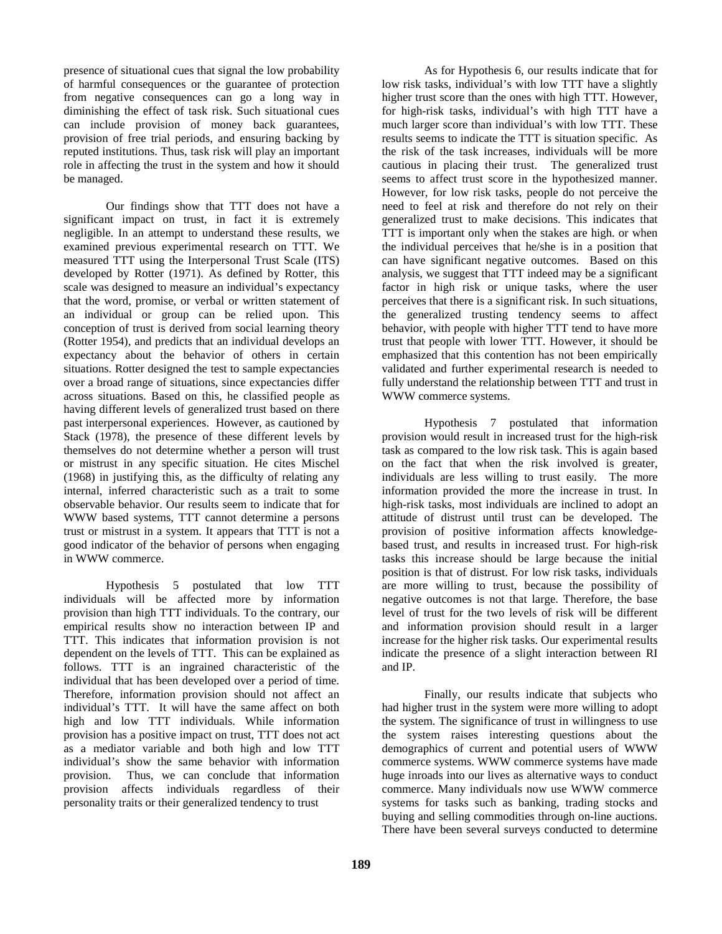presence of situational cues that signal the low probability of harmful consequences or the guarantee of protection from negative consequences can go a long way in diminishing the effect of task risk. Such situational cues can include provision of money back guarantees, provision of free trial periods, and ensuring backing by reputed institutions. Thus, task risk will play an important role in affecting the trust in the system and how it should be managed.

Our findings show that TTT does not have a significant impact on trust, in fact it is extremely negligible. In an attempt to understand these results, we examined previous experimental research on TTT. We measured TTT using the Interpersonal Trust Scale (ITS) developed by Rotter (1971). As defined by Rotter, this scale was designed to measure an individual's expectancy that the word, promise, or verbal or written statement of an individual or group can be relied upon. This conception of trust is derived from social learning theory (Rotter 1954), and predicts that an individual develops an expectancy about the behavior of others in certain situations. Rotter designed the test to sample expectancies over a broad range of situations, since expectancies differ across situations. Based on this, he classified people as having different levels of generalized trust based on there past interpersonal experiences. However, as cautioned by Stack (1978), the presence of these different levels by themselves do not determine whether a person will trust or mistrust in any specific situation. He cites Mischel (1968) in justifying this, as the difficulty of relating any internal, inferred characteristic such as a trait to some observable behavior. Our results seem to indicate that for WWW based systems, TTT cannot determine a persons trust or mistrust in a system. It appears that TTT is not a good indicator of the behavior of persons when engaging in WWW commerce.

Hypothesis 5 postulated that low TTT individuals will be affected more by information provision than high TTT individuals. To the contrary, our empirical results show no interaction between IP and TTT. This indicates that information provision is not dependent on the levels of TTT. This can be explained as follows. TTT is an ingrained characteristic of the individual that has been developed over a period of time. Therefore, information provision should not affect an individual's TTT. It will have the same affect on both high and low TTT individuals. While information provision has a positive impact on trust, TTT does not act as a mediator variable and both high and low TTT individual's show the same behavior with information provision. Thus, we can conclude that information provision affects individuals regardless of their personality traits or their generalized tendency to trust

As for Hypothesis 6, our results indicate that for low risk tasks, individual's with low TTT have a slightly higher trust score than the ones with high TTT. However, for high-risk tasks, individual's with high TTT have a much larger score than individual's with low TTT. These results seems to indicate the TTT is situation specific. As the risk of the task increases, individuals will be more cautious in placing their trust. The generalized trust seems to affect trust score in the hypothesized manner. However, for low risk tasks, people do not perceive the need to feel at risk and therefore do not rely on their generalized trust to make decisions. This indicates that TTT is important only when the stakes are high. or when the individual perceives that he/she is in a position that can have significant negative outcomes. Based on this analysis, we suggest that TTT indeed may be a significant factor in high risk or unique tasks, where the user perceives that there is a significant risk. In such situations, the generalized trusting tendency seems to affect behavior, with people with higher TTT tend to have more trust that people with lower TTT. However, it should be emphasized that this contention has not been empirically validated and further experimental research is needed to fully understand the relationship between TTT and trust in WWW commerce systems.

Hypothesis 7 postulated that information provision would result in increased trust for the high-risk task as compared to the low risk task. This is again based on the fact that when the risk involved is greater, individuals are less willing to trust easily. The more information provided the more the increase in trust. In high-risk tasks, most individuals are inclined to adopt an attitude of distrust until trust can be developed. The provision of positive information affects knowledgebased trust, and results in increased trust. For high-risk tasks this increase should be large because the initial position is that of distrust. For low risk tasks, individuals are more willing to trust, because the possibility of negative outcomes is not that large. Therefore, the base level of trust for the two levels of risk will be different and information provision should result in a larger increase for the higher risk tasks. Our experimental results indicate the presence of a slight interaction between RI and IP.

Finally, our results indicate that subjects who had higher trust in the system were more willing to adopt the system. The significance of trust in willingness to use the system raises interesting questions about the demographics of current and potential users of WWW commerce systems. WWW commerce systems have made huge inroads into our lives as alternative ways to conduct commerce. Many individuals now use WWW commerce systems for tasks such as banking, trading stocks and buying and selling commodities through on-line auctions. There have been several surveys conducted to determine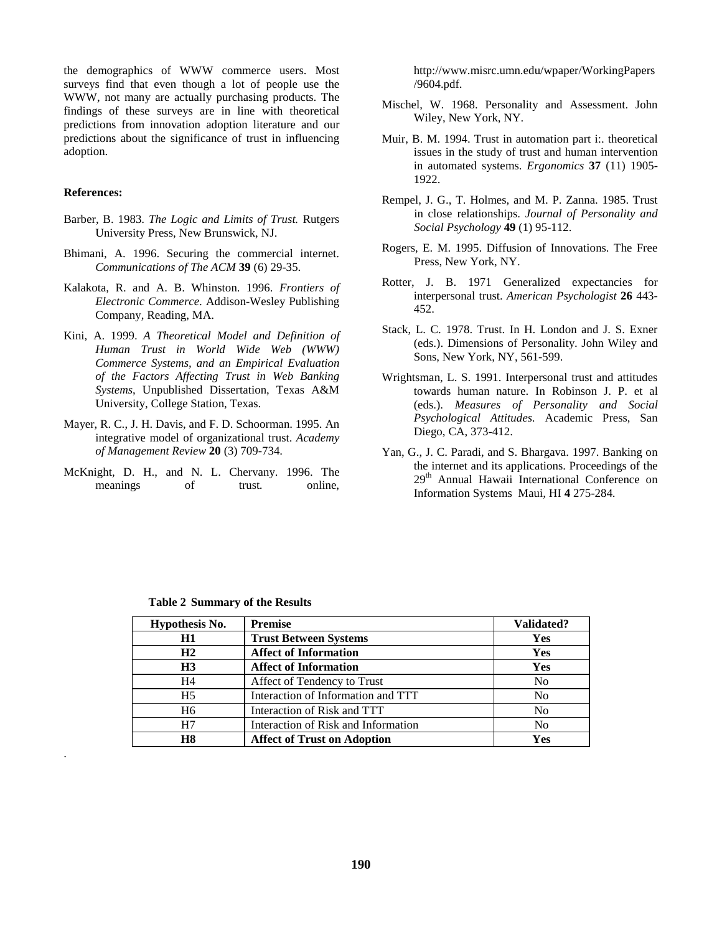the demographics of WWW commerce users. Most surveys find that even though a lot of people use the WWW, not many are actually purchasing products. The findings of these surveys are in line with theoretical predictions from innovation adoption literature and our predictions about the significance of trust in influencing adoption.

#### **References:**

.

- Barber, B. 1983. *The Logic and Limits of Trust.* Rutgers University Press, New Brunswick, NJ.
- Bhimani, A. 1996. Securing the commercial internet. *Communications of The ACM* **39** (6) 29-35.
- Kalakota, R. and A. B. Whinston. 1996. *Frontiers of Electronic Commerce*. Addison-Wesley Publishing Company, Reading, MA.
- Kini, A. 1999. *A Theoretical Model and Definition of Human Trust in World Wide Web (WWW) Commerce Systems, and an Empirical Evaluation of the Factors Affecting Trust in Web Banking Systems*, Unpublished Dissertation, Texas A&M University, College Station, Texas.
- Mayer, R. C., J. H. Davis, and F. D. Schoorman. 1995. An integrative model of organizational trust. *Academy of Management Review* **20** (3) 709-734.
- McKnight, D. H., and N. L. Chervany. 1996. The meanings of trust. online,

http://www.misrc.umn.edu/wpaper/WorkingPapers /9604.pdf.

- Mischel, W. 1968. Personality and Assessment. John Wiley, New York, NY.
- Muir, B. M. 1994. Trust in automation part i:. theoretical issues in the study of trust and human intervention in automated systems. *Ergonomics* **37** (11) 1905- 1922.
- Rempel, J. G., T. Holmes, and M. P. Zanna. 1985. Trust in close relationships. *Journal of Personality and Social Psychology* **49** (1) 95-112.
- Rogers, E. M. 1995. Diffusion of Innovations. The Free Press, New York, NY.
- Rotter, J. B. 1971 Generalized expectancies for interpersonal trust. *American Psychologist* **26** 443- 452.
- Stack, L. C. 1978. Trust. In H. London and J. S. Exner (eds.). Dimensions of Personality. John Wiley and Sons, New York, NY, 561-599.
- Wrightsman, L. S. 1991. Interpersonal trust and attitudes towards human nature. In Robinson J. P. et al (eds.). *Measures of Personality and Social Psychological Attitudes.* Academic Press, San Diego, CA, 373-412.
- Yan, G., J. C. Paradi, and S. Bhargava. 1997. Banking on the internet and its applications. Proceedings of the 29th Annual Hawaii International Conference on Information Systems Maui*,* HI **4** 275-284*.*

| <b>Hypothesis No.</b> | <b>Premise</b>                      | Validated?     |
|-----------------------|-------------------------------------|----------------|
| H1                    | <b>Trust Between Systems</b>        | Yes            |
| H2                    | <b>Affect of Information</b>        | <b>Yes</b>     |
| H <sub>3</sub>        | <b>Affect of Information</b>        | <b>Yes</b>     |
| H <sub>4</sub>        | Affect of Tendency to Trust         | N <sub>o</sub> |
| H <sub>5</sub>        | Interaction of Information and TTT  | N <sub>0</sub> |
| H6                    | Interaction of Risk and TTT         | N <sub>0</sub> |
| H7                    | Interaction of Risk and Information | N <sub>0</sub> |
| <b>H8</b>             | <b>Affect of Trust on Adoption</b>  | Yes            |

#### **Table 2 Summary of the Results**